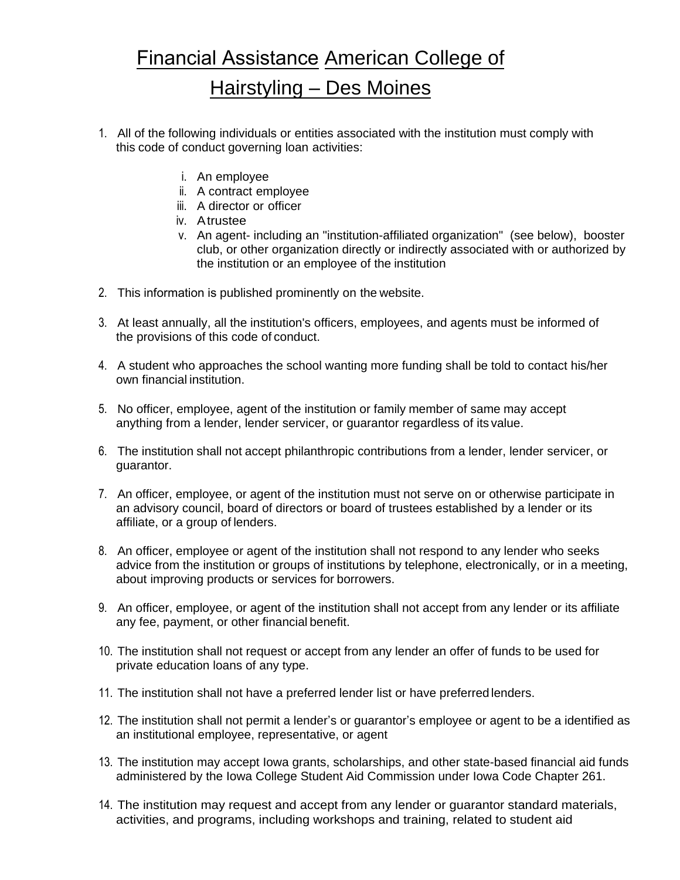## Financial Assistance American College of Hairstyling – Des Moines

- 1. All of the following individuals or entities associated with the institution must comply with this code of conduct governing loan activities:
	- i. An employee
	- ii. A contract employee
	- iii. A director or officer
	- iv. A trustee
	- v. An agent- including an "institution-affiliated organization" (see below), booster club, or other organization directly or indirectly associated with or authorized by the institution or an employee of the institution
- 2. This information is published prominently on the website.
- 3. At least annually, all the institution's officers, employees, and agents must be informed of the provisions of this code of conduct.
- 4. A student who approaches the school wanting more funding shall be told to contact his/her own financial institution.
- 5. No officer, employee, agent of the institution or family member of same may accept anything from a lender, lender servicer, or guarantor regardless of its value.
- 6. The institution shall not accept philanthropic contributions from a lender, lender servicer, or guarantor.
- 7. An officer, employee, or agent of the institution must not serve on or otherwise participate in an advisory council, board of directors or board of trustees established by a lender or its affiliate, or a group of lenders.
- 8. An officer, employee or agent of the institution shall not respond to any lender who seeks advice from the institution or groups of institutions by telephone, electronically, or in a meeting, about improving products or services for borrowers.
- 9. An officer, employee, or agent of the institution shall not accept from any lender or its affiliate any fee, payment, or other financial benefit.
- 10. The institution shall not request or accept from any lender an offer of funds to be used for private education loans of any type.
- 11. The institution shall not have a preferred lender list or have preferred lenders.
- 12. The institution shall not permit a lender's or guarantor's employee or agent to be a identified as an institutional employee, representative, or agent
- 13. The institution may accept Iowa grants, scholarships, and other state-based financial aid funds administered by the Iowa College Student Aid Commission under Iowa Code Chapter 261.
- 14. The institution may request and accept from any lender or guarantor standard materials, activities, and programs, including workshops and training, related to student aid